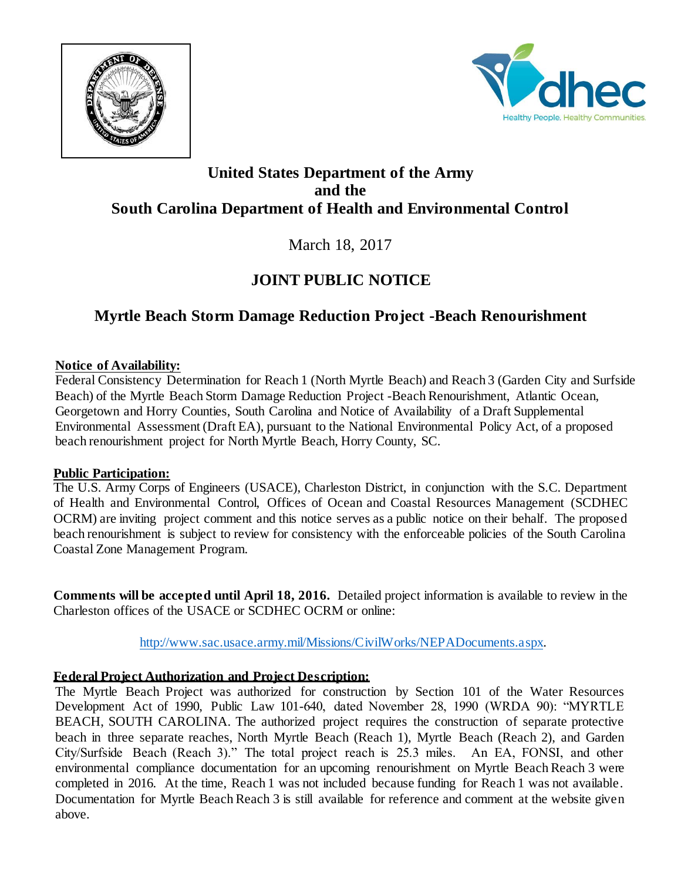



## **United States Department of the Army and the South Carolina Department of Health and Environmental Control**

March 18, 2017

# **JOINT PUBLIC NOTICE**

# **Myrtle Beach Storm Damage Reduction Project -Beach Renourishment**

### **Notice of Availability:**

Federal Consistency Determination for Reach 1 (North Myrtle Beach) and Reach 3 (Garden City and Surfside Beach) of the Myrtle Beach Storm Damage Reduction Project -Beach Renourishment, Atlantic Ocean, Georgetown and Horry Counties, South Carolina and Notice of Availability of a Draft Supplemental Environmental Assessment (Draft EA), pursuant to the National Environmental Policy Act, of a proposed beach renourishment project for North Myrtle Beach, Horry County, SC.

#### **Public Participation:**

The U.S. Army Corps of Engineers (USACE), Charleston District, in conjunction with the S.C. Department of Health and Environmental Control, Offices of Ocean and Coastal Resources Management (SCDHEC OCRM) are inviting project comment and this notice serves as a public notice on their behalf. The proposed beach renourishment is subject to review for consistency with the enforceable policies of the South Carolina Coastal Zone Management Program.

**Comments will be accepted until April 18, 2016.** Detailed project information is available to review in the Charleston offices of the USACE or SCDHEC OCRM or online:

[http://www.sac.usace.army.mil/Missions/CivilWorks/NEPADocuments.aspx.](http://www.sac.usace.army.mil/Missions/CivilWorks/NEPADocuments.aspx)

### **Federal Project Authorization and Project Description:**

The Myrtle Beach Project was authorized for construction by Section 101 of the Water Resources Development Act of 1990, Public Law 101-640, dated November 28, 1990 (WRDA 90): "MYRTLE BEACH, SOUTH CAROLINA. The authorized project requires the construction of separate protective beach in three separate reaches, North Myrtle Beach (Reach 1), Myrtle Beach (Reach 2), and Garden City/Surfside Beach (Reach 3)." The total project reach is 25.3 miles. An EA, FONSI, and other environmental compliance documentation for an upcoming renourishment on Myrtle Beach Reach 3 were completed in 2016. At the time, Reach 1 was not included because funding for Reach 1 was not available. Documentation for Myrtle Beach Reach 3 is still available for reference and comment at the website given above.